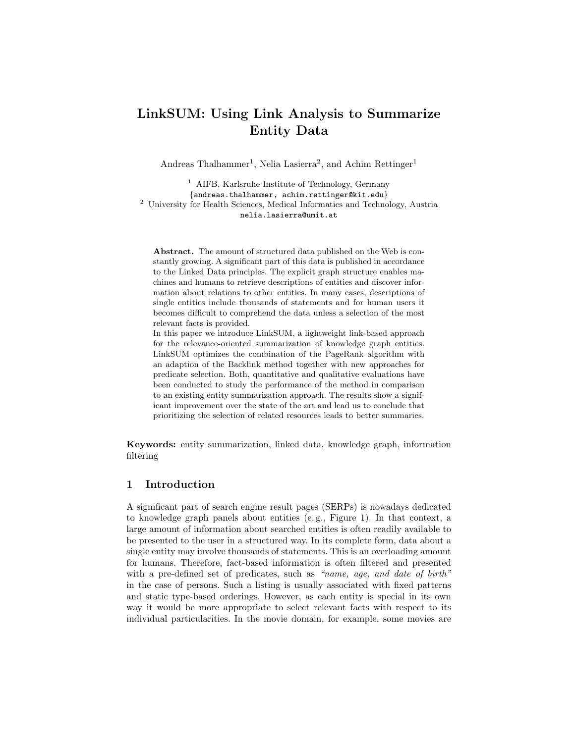# LinkSUM: Using Link Analysis to Summarize Entity Data

Andreas Thalhammer<sup>1</sup>, Nelia Lasierra<sup>2</sup>, and Achim Rettinger<sup>1</sup>

<sup>1</sup> AIFB, Karlsruhe Institute of Technology, Germany {andreas.thalhammer, achim.rettinger@kit.edu}  $^2$ University for Health Sciences, Medical Informatics and Technology, Austria nelia.lasierra@umit.at

Abstract. The amount of structured data published on the Web is constantly growing. A significant part of this data is published in accordance to the Linked Data principles. The explicit graph structure enables machines and humans to retrieve descriptions of entities and discover information about relations to other entities. In many cases, descriptions of single entities include thousands of statements and for human users it becomes difficult to comprehend the data unless a selection of the most relevant facts is provided.

In this paper we introduce LinkSUM, a lightweight link-based approach for the relevance-oriented summarization of knowledge graph entities. LinkSUM optimizes the combination of the PageRank algorithm with an adaption of the Backlink method together with new approaches for predicate selection. Both, quantitative and qualitative evaluations have been conducted to study the performance of the method in comparison to an existing entity summarization approach. The results show a significant improvement over the state of the art and lead us to conclude that prioritizing the selection of related resources leads to better summaries.

Keywords: entity summarization, linked data, knowledge graph, information filtering

### 1 Introduction

A significant part of search engine result pages (SERPs) is nowadays dedicated to knowledge graph panels about entities (e. g., Figure [1\)](#page-1-0). In that context, a large amount of information about searched entities is often readily available to be presented to the user in a structured way. In its complete form, data about a single entity may involve thousands of statements. This is an overloading amount for humans. Therefore, fact-based information is often filtered and presented with a pre-defined set of predicates, such as "name, age, and date of birth" in the case of persons. Such a listing is usually associated with fixed patterns and static type-based orderings. However, as each entity is special in its own way it would be more appropriate to select relevant facts with respect to its individual particularities. In the movie domain, for example, some movies are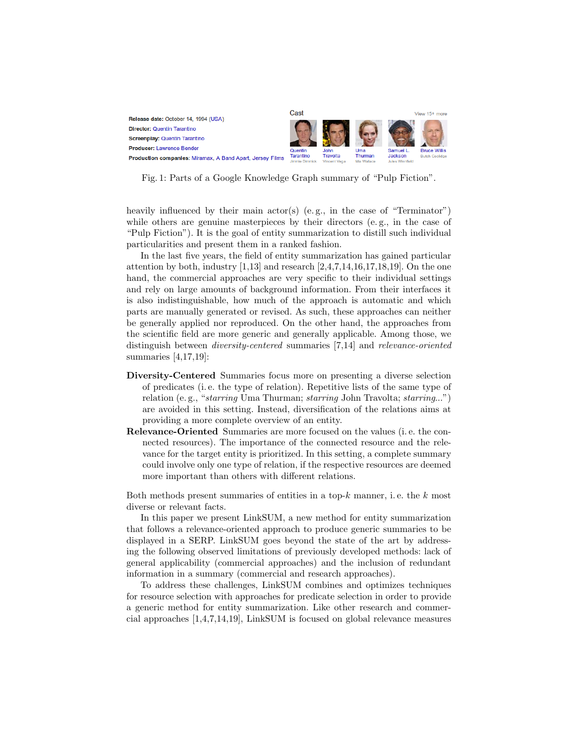<span id="page-1-0"></span>

Fig. 1: Parts of a Google Knowledge Graph summary of "Pulp Fiction".

heavily influenced by their main actor(s) (e.g., in the case of "Terminator") while others are genuine masterpieces by their directors (e.g., in the case of "Pulp Fiction"). It is the goal of entity summarization to distill such individual particularities and present them in a ranked fashion.

In the last five years, the field of entity summarization has gained particular attention by both, industry  $[1,13]$  $[1,13]$  and research  $[2,4,7,14,16,17,18,19]$  $[2,4,7,14,16,17,18,19]$  $[2,4,7,14,16,17,18,19]$  $[2,4,7,14,16,17,18,19]$  $[2,4,7,14,16,17,18,19]$  $[2,4,7,14,16,17,18,19]$  $[2,4,7,14,16,17,18,19]$  $[2,4,7,14,16,17,18,19]$ . On the one hand, the commercial approaches are very specific to their individual settings and rely on large amounts of background information. From their interfaces it is also indistinguishable, how much of the approach is automatic and which parts are manually generated or revised. As such, these approaches can neither be generally applied nor reproduced. On the other hand, the approaches from the scientific field are more generic and generally applicable. Among those, we distinguish between diversity-centered summaries [\[7](#page-17-4)[,14\]](#page-17-5) and relevance-oriented summaries [\[4,](#page-17-3)[17,](#page-17-7)[19\]](#page-17-9):

- Diversity-Centered Summaries focus more on presenting a diverse selection of predicates (i. e. the type of relation). Repetitive lists of the same type of relation (e. g., "starring Uma Thurman; starring John Travolta; starring...") are avoided in this setting. Instead, diversification of the relations aims at providing a more complete overview of an entity.
- Relevance-Oriented Summaries are more focused on the values (i. e. the connected resources). The importance of the connected resource and the relevance for the target entity is prioritized. In this setting, a complete summary could involve only one type of relation, if the respective resources are deemed more important than others with different relations.

Both methods present summaries of entities in a top- $k$  manner, i.e. the  $k$  most diverse or relevant facts.

In this paper we present LinkSUM, a new method for entity summarization that follows a relevance-oriented approach to produce generic summaries to be displayed in a SERP. LinkSUM goes beyond the state of the art by addressing the following observed limitations of previously developed methods: lack of general applicability (commercial approaches) and the inclusion of redundant information in a summary (commercial and research approaches).

To address these challenges, LinkSUM combines and optimizes techniques for resource selection with approaches for predicate selection in order to provide a generic method for entity summarization. Like other research and commercial approaches [\[1,](#page-17-0)[4](#page-17-3)[,7,](#page-17-4)[14,](#page-17-5)[19\]](#page-17-9), LinkSUM is focused on global relevance measures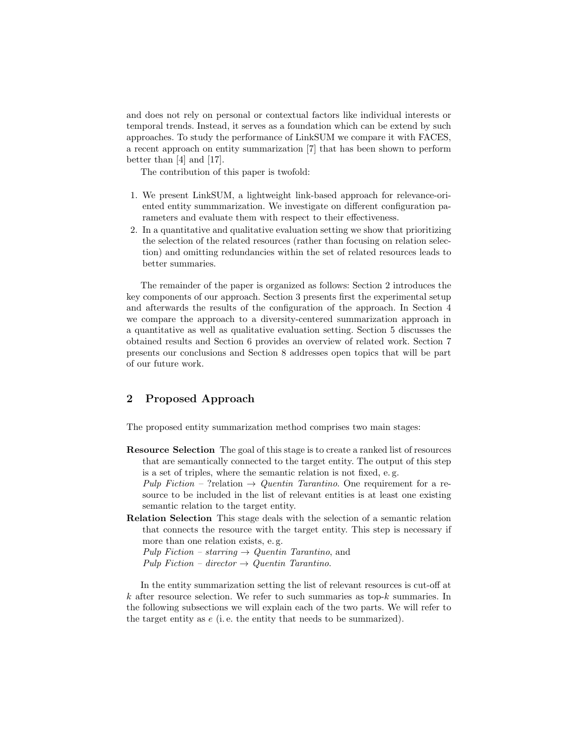and does not rely on personal or contextual factors like individual interests or temporal trends. Instead, it serves as a foundation which can be extend by such approaches. To study the performance of LinkSUM we compare it with FACES, a recent approach on entity summarization [\[7\]](#page-17-4) that has been shown to perform better than [\[4\]](#page-17-3) and [\[17\]](#page-17-7).

The contribution of this paper is twofold:

- 1. We present LinkSUM, a lightweight link-based approach for relevance-oriented entity summmarization. We investigate on different configuration parameters and evaluate them with respect to their effectiveness.
- 2. In a quantitative and qualitative evaluation setting we show that prioritizing the selection of the related resources (rather than focusing on relation selection) and omitting redundancies within the set of related resources leads to better summaries.

The remainder of the paper is organized as follows: Section [2](#page-2-0) introduces the key components of our approach. Section [3](#page-5-0) presents first the experimental setup and afterwards the results of the configuration of the approach. In Section [4](#page-8-0) we compare the approach to a diversity-centered summarization approach in a quantitative as well as qualitative evaluation setting. Section [5](#page-12-0) discusses the obtained results and Section [6](#page-13-0) provides an overview of related work. Section [7](#page-15-0) presents our conclusions and Section [8](#page-16-0) addresses open topics that will be part of our future work.

### <span id="page-2-0"></span>2 Proposed Approach

The proposed entity summarization method comprises two main stages:

Resource Selection The goal of this stage is to create a ranked list of resources that are semantically connected to the target entity. The output of this step is a set of triples, where the semantic relation is not fixed, e. g.

Pulp Fiction – ?relation  $\rightarrow$  Quentin Tarantino. One requirement for a resource to be included in the list of relevant entities is at least one existing semantic relation to the target entity.

Relation Selection This stage deals with the selection of a semantic relation that connects the resource with the target entity. This step is necessary if more than one relation exists, e. g.

Pulp Fiction – starring  $\rightarrow$  Quentin Tarantino, and Pulp Fiction – director  $\rightarrow$  Quentin Tarantino.

In the entity summarization setting the list of relevant resources is cut-off at  $k$  after resource selection. We refer to such summaries as top- $k$  summaries. In the following subsections we will explain each of the two parts. We will refer to the target entity as  $e$  (i.e. the entity that needs to be summarized).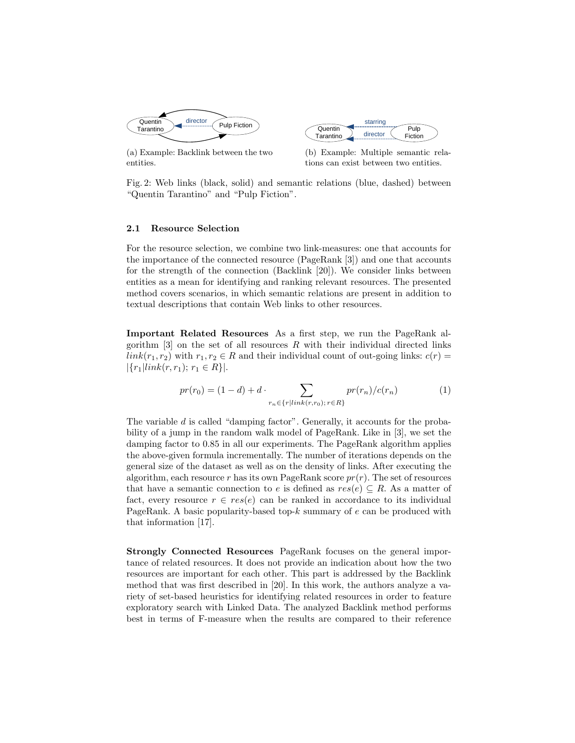<span id="page-3-0"></span>

(a) Example: Backlink between the two entities.



Pulp

Fig. 2: Web links (black, solid) and semantic relations (blue, dashed) between "Quentin Tarantino" and "Pulp Fiction".

#### 2.1 Resource Selection

For the resource selection, we combine two link-measures: one that accounts for the importance of the connected resource (PageRank [\[3\]](#page-17-10)) and one that accounts for the strength of the connection (Backlink [\[20\]](#page-17-11)). We consider links between entities as a mean for identifying and ranking relevant resources. The presented method covers scenarios, in which semantic relations are present in addition to textual descriptions that contain Web links to other resources.

Important Related Resources As a first step, we run the PageRank algorithm  $[3]$  on the set of all resources R with their individual directed links  $link(r_1, r_2)$  with  $r_1, r_2 \in R$  and their individual count of out-going links:  $c(r)$  =  $|\{r_1|link(r, r_1); r_1 \in R\}|.$ 

$$
pr(r_0) = (1 - d) + d \cdot \sum_{r_n \in \{r | link(r, r_0); \, r \in R\}} pr(r_n) / c(r_n)
$$
 (1)

The variable d is called "damping factor". Generally, it accounts for the probability of a jump in the random walk model of PageRank. Like in [\[3\]](#page-17-10), we set the damping factor to 0.85 in all our experiments. The PageRank algorithm applies the above-given formula incrementally. The number of iterations depends on the general size of the dataset as well as on the density of links. After executing the algorithm, each resource r has its own PageRank score  $pr(r)$ . The set of resources that have a semantic connection to e is defined as  $res(e) \subseteq R$ . As a matter of fact, every resource  $r \in res(e)$  can be ranked in accordance to its individual PageRank. A basic popularity-based top- $k$  summary of  $e$  can be produced with that information [\[17\]](#page-17-7).

Strongly Connected Resources PageRank focuses on the general importance of related resources. It does not provide an indication about how the two resources are important for each other. This part is addressed by the Backlink method that was first described in [\[20\]](#page-17-11). In this work, the authors analyze a variety of set-based heuristics for identifying related resources in order to feature exploratory search with Linked Data. The analyzed Backlink method performs best in terms of F-measure when the results are compared to their reference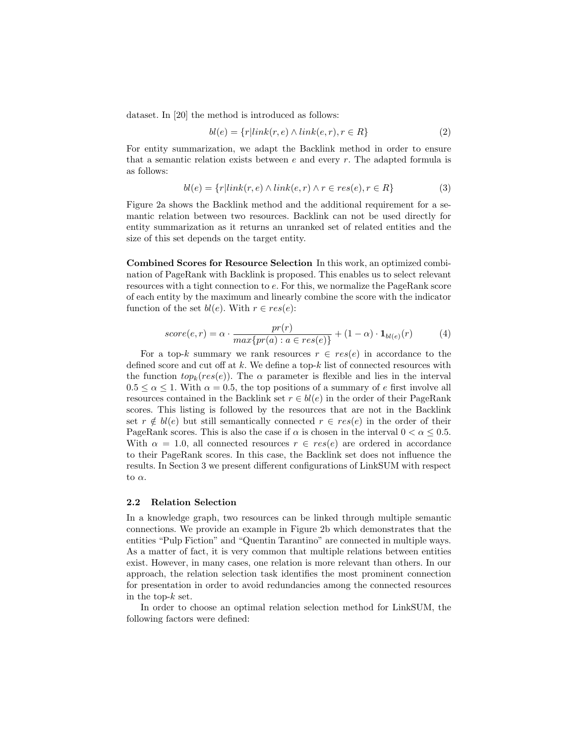dataset. In [\[20\]](#page-17-11) the method is introduced as follows:

$$
bl(e) = \{r|link(r, e) \land link(e, r), r \in R\}
$$
\n
$$
(2)
$$

For entity summarization, we adapt the Backlink method in order to ensure that a semantic relation exists between  $e$  and every  $r$ . The adapted formula is as follows:

$$
bl(e) = \{r|link(r, e) \land link(e, r) \land r \in res(e), r \in R\}
$$
\n
$$
(3)
$$

Figure [2a](#page-3-0) shows the Backlink method and the additional requirement for a semantic relation between two resources. Backlink can not be used directly for entity summarization as it returns an unranked set of related entities and the size of this set depends on the target entity.

<span id="page-4-0"></span>Combined Scores for Resource Selection In this work, an optimized combination of PageRank with Backlink is proposed. This enables us to select relevant resources with a tight connection to e. For this, we normalize the PageRank score of each entity by the maximum and linearly combine the score with the indicator function of the set  $bl(e)$ . With  $r \in res(e)$ :

$$
score(e,r) = \alpha \cdot \frac{pr(r)}{max\{pr(a) : a \in res(e)\}} + (1 - \alpha) \cdot \mathbf{1}_{bl(e)}(r) \tag{4}
$$

For a top-k summary we rank resources  $r \in res(e)$  in accordance to the defined score and cut off at  $k$ . We define a top- $k$  list of connected resources with the function  $top_k(res(e))$ . The  $\alpha$  parameter is flexible and lies in the interval  $0.5 \le \alpha \le 1$ . With  $\alpha = 0.5$ , the top positions of a summary of e first involve all resources contained in the Backlink set  $r \in bl(e)$  in the order of their PageRank scores. This listing is followed by the resources that are not in the Backlink set  $r \notin bl(e)$  but still semantically connected  $r \in res(e)$  in the order of their PageRank scores. This is also the case if  $\alpha$  is chosen in the interval  $0 < \alpha \leq 0.5$ . With  $\alpha = 1.0$ , all connected resources  $r \in res(e)$  are ordered in accordance to their PageRank scores. In this case, the Backlink set does not influence the results. In Section [3](#page-5-0) we present different configurations of LinkSUM with respect to  $\alpha$ .

#### <span id="page-4-1"></span>2.2 Relation Selection

In a knowledge graph, two resources can be linked through multiple semantic connections. We provide an example in Figure [2b](#page-3-0) which demonstrates that the entities "Pulp Fiction" and "Quentin Tarantino" are connected in multiple ways. As a matter of fact, it is very common that multiple relations between entities exist. However, in many cases, one relation is more relevant than others. In our approach, the relation selection task identifies the most prominent connection for presentation in order to avoid redundancies among the connected resources in the top- $k$  set.

In order to choose an optimal relation selection method for LinkSUM, the following factors were defined: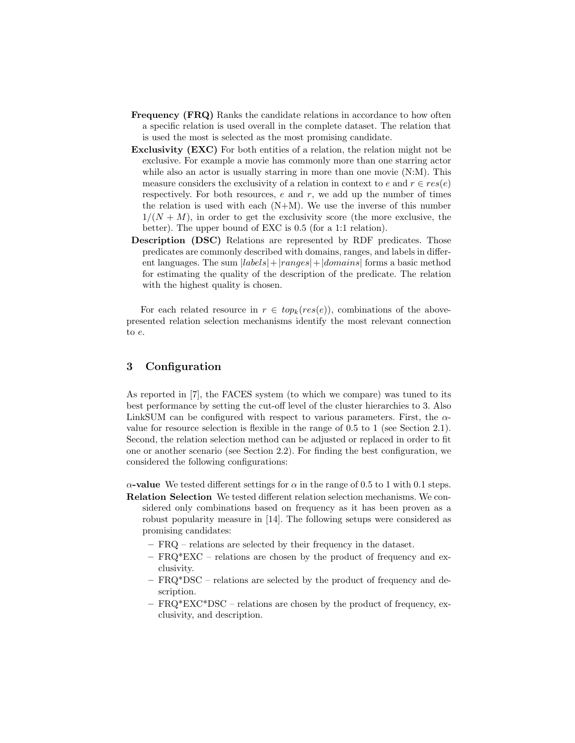- Frequency (FRQ) Ranks the candidate relations in accordance to how often a specific relation is used overall in the complete dataset. The relation that is used the most is selected as the most promising candidate.
- Exclusivity (EXC) For both entities of a relation, the relation might not be exclusive. For example a movie has commonly more than one starring actor while also an actor is usually starring in more than one movie  $(N:M)$ . This measure considers the exclusivity of a relation in context to e and  $r \in res(e)$ respectively. For both resources,  $e$  and  $r$ , we add up the number of times the relation is used with each  $(N+M)$ . We use the inverse of this number  $1/(N + M)$ , in order to get the exclusivity score (the more exclusive, the better). The upper bound of EXC is 0.5 (for a 1:1 relation).
- Description (DSC) Relations are represented by RDF predicates. Those predicates are commonly described with domains, ranges, and labels in different languages. The sum  $|labels|+|ranges|+|domains|$  forms a basic method for estimating the quality of the description of the predicate. The relation with the highest quality is chosen.

For each related resource in  $r \in top_k(res(e))$ , combinations of the abovepresented relation selection mechanisms identify the most relevant connection to e.

### <span id="page-5-0"></span>3 Configuration

As reported in [\[7\]](#page-17-4), the FACES system (to which we compare) was tuned to its best performance by setting the cut-off level of the cluster hierarchies to 3. Also LinkSUM can be configured with respect to various parameters. First, the  $\alpha$ value for resource selection is flexible in the range of 0.5 to 1 (see Section [2.1\)](#page-4-0). Second, the relation selection method can be adjusted or replaced in order to fit one or another scenario (see Section [2.2\)](#page-4-1). For finding the best configuration, we considered the following configurations:

 $\alpha$ -value We tested different settings for  $\alpha$  in the range of 0.5 to 1 with 0.1 steps. Relation Selection We tested different relation selection mechanisms. We con-

- sidered only combinations based on frequency as it has been proven as a robust popularity measure in [\[14\]](#page-17-5). The following setups were considered as promising candidates:
	- FRQ relations are selected by their frequency in the dataset.
	- FRQ\*EXC relations are chosen by the product of frequency and exclusivity.
	- FRQ\*DSC relations are selected by the product of frequency and description.
	- FRQ\*EXC\*DSC relations are chosen by the product of frequency, exclusivity, and description.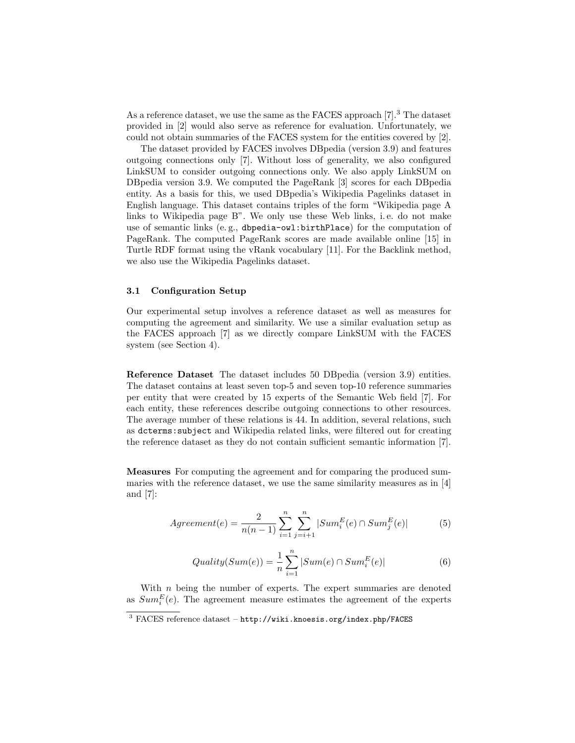As a reference dataset, we use the same as the FACES approach [\[7\]](#page-17-4).<sup>[3](#page-6-0)</sup> The dataset provided in [\[2\]](#page-17-2) would also serve as reference for evaluation. Unfortunately, we could not obtain summaries of the FACES system for the entities covered by [\[2\]](#page-17-2).

The dataset provided by FACES involves DBpedia (version 3.9) and features outgoing connections only [\[7\]](#page-17-4). Without loss of generality, we also configured LinkSUM to consider outgoing connections only. We also apply LinkSUM on DBpedia version 3.9. We computed the PageRank [\[3\]](#page-17-10) scores for each DBpedia entity. As a basis for this, we used DBpedia's Wikipedia Pagelinks dataset in English language. This dataset contains triples of the form "Wikipedia page A links to Wikipedia page B". We only use these Web links, i. e. do not make use of semantic links (e.g., dbpedia-owl:birthPlace) for the computation of PageRank. The computed PageRank scores are made available online [\[15\]](#page-17-12) in Turtle RDF format using the vRank vocabulary [\[11\]](#page-17-13). For the Backlink method, we also use the Wikipedia Pagelinks dataset.

#### <span id="page-6-1"></span>3.1 Configuration Setup

Our experimental setup involves a reference dataset as well as measures for computing the agreement and similarity. We use a similar evaluation setup as the FACES approach [\[7\]](#page-17-4) as we directly compare LinkSUM with the FACES system (see Section [4\)](#page-8-0).

Reference Dataset The dataset includes 50 DBpedia (version 3.9) entities. The dataset contains at least seven top-5 and seven top-10 reference summaries per entity that were created by 15 experts of the Semantic Web field [\[7\]](#page-17-4). For each entity, these references describe outgoing connections to other resources. The average number of these relations is 44. In addition, several relations, such as dcterms:subject and Wikipedia related links, were filtered out for creating the reference dataset as they do not contain sufficient semantic information [\[7\]](#page-17-4).

Measures For computing the agreement and for comparing the produced summaries with the reference dataset, we use the same similarity measures as in [\[4\]](#page-17-3) and [\[7\]](#page-17-4):

$$
Agreement(e) = \frac{2}{n(n-1)} \sum_{i=1}^{n} \sum_{j=i+1}^{n} |Sum_{i}^{E}(e) \cap Sum_{j}^{E}(e)|
$$
(5)

$$
Quality(Sum(e)) = \frac{1}{n} \sum_{i=1}^{n} |Sum(e) \cap Sum_i^{E}(e)|
$$
\n(6)

With  $n$  being the number of experts. The expert summaries are denoted as  $Sum<sup>E</sup><sub>i</sub>(e)$ . The agreement measure estimates the agreement of the experts

<span id="page-6-0"></span> $3$  FACES reference dataset – <http://wiki.knoesis.org/index.php/FACES>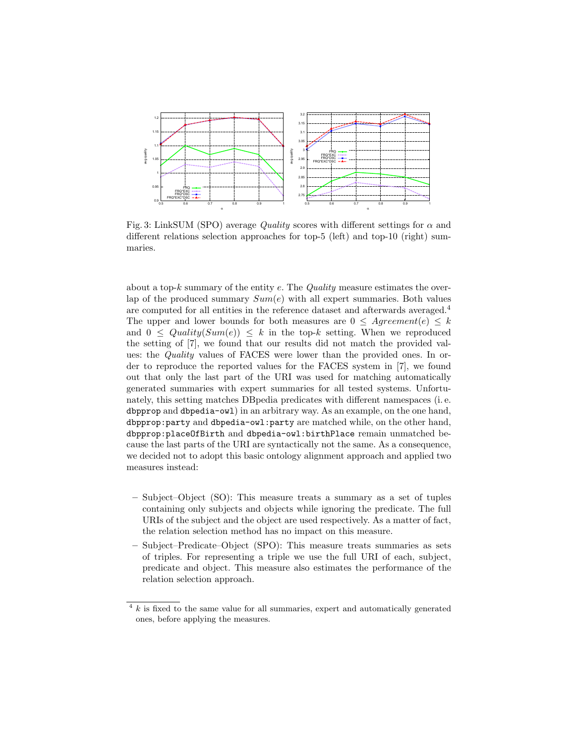<span id="page-7-1"></span>

Fig. 3: LinkSUM (SPO) average *Quality* scores with different settings for  $\alpha$  and different relations selection approaches for top-5 (left) and top-10 (right) summaries.

about a top- $k$  summary of the entity  $e$ . The *Quality* measure estimates the overlap of the produced summary  $Sum(e)$  with all expert summaries. Both values are computed for all entities in the reference dataset and afterwards averaged.<sup>[4](#page-7-0)</sup> The upper and lower bounds for both measures are  $0 \leq A$ greement(e)  $\leq k$ and  $0 \leq$  Quality( $Sum(e)$ )  $\leq k$  in the top-k setting. When we reproduced the setting of [\[7\]](#page-17-4), we found that our results did not match the provided values: the Quality values of FACES were lower than the provided ones. In order to reproduce the reported values for the FACES system in [\[7\]](#page-17-4), we found out that only the last part of the URI was used for matching automatically generated summaries with expert summaries for all tested systems. Unfortunately, this setting matches DBpedia predicates with different namespaces (i. e. dbpprop and dbpedia-owl) in an arbitrary way. As an example, on the one hand, dbpprop:party and dbpedia-owl:party are matched while, on the other hand, dbpprop:placeOfBirth and dbpedia-owl:birthPlace remain unmatched because the last parts of the URI are syntactically not the same. As a consequence, we decided not to adopt this basic ontology alignment approach and applied two measures instead:

- Subject–Object (SO): This measure treats a summary as a set of tuples containing only subjects and objects while ignoring the predicate. The full URIs of the subject and the object are used respectively. As a matter of fact, the relation selection method has no impact on this measure.
- Subject–Predicate–Object (SPO): This measure treats summaries as sets of triples. For representing a triple we use the full URI of each, subject, predicate and object. This measure also estimates the performance of the relation selection approach.

<span id="page-7-0"></span> $4 k$  is fixed to the same value for all summaries, expert and automatically generated ones, before applying the measures.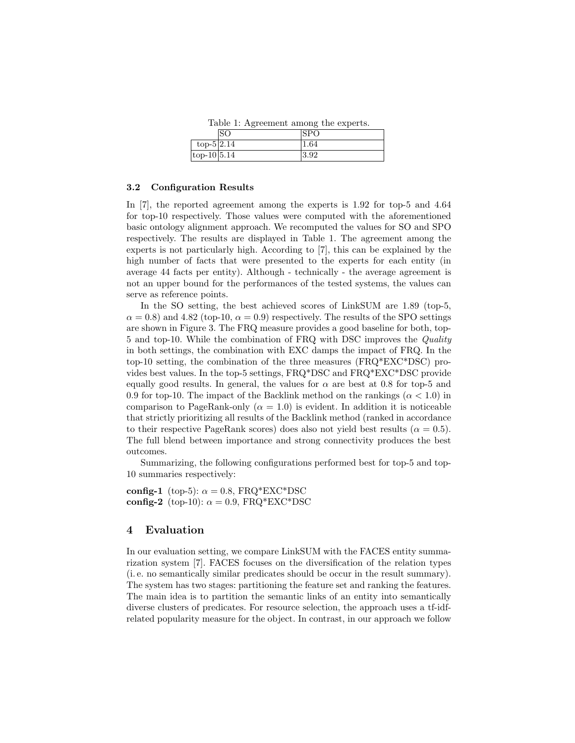Table 1: Agreement among the experts.

<span id="page-8-1"></span>

| $top-5/2.14$   | 1.64 |
|----------------|------|
| $ top-10 5.14$ | 3.92 |

#### <span id="page-8-2"></span>3.2 Configuration Results

In [\[7\]](#page-17-4), the reported agreement among the experts is 1.92 for top-5 and 4.64 for top-10 respectively. Those values were computed with the aforementioned basic ontology alignment approach. We recomputed the values for SO and SPO respectively. The results are displayed in Table [1.](#page-8-1) The agreement among the experts is not particularly high. According to [\[7\]](#page-17-4), this can be explained by the high number of facts that were presented to the experts for each entity (in average 44 facts per entity). Although - technically - the average agreement is not an upper bound for the performances of the tested systems, the values can serve as reference points.

In the SO setting, the best achieved scores of LinkSUM are 1.89 (top-5,  $\alpha = 0.8$ ) and 4.82 (top-10,  $\alpha = 0.9$ ) respectively. The results of the SPO settings are shown in Figure [3.](#page-7-1) The FRQ measure provides a good baseline for both, top-5 and top-10. While the combination of FRQ with DSC improves the Quality in both settings, the combination with EXC damps the impact of FRQ. In the top-10 setting, the combination of the three measures (FRQ\*EXC\*DSC) provides best values. In the top-5 settings, FRQ\*DSC and FRQ\*EXC\*DSC provide equally good results. In general, the values for  $\alpha$  are best at 0.8 for top-5 and 0.9 for top-10. The impact of the Backlink method on the rankings ( $\alpha$  < 1.0) in comparison to PageRank-only ( $\alpha = 1.0$ ) is evident. In addition it is noticeable that strictly prioritizing all results of the Backlink method (ranked in accordance to their respective PageRank scores) does also not yield best results ( $\alpha = 0.5$ ). The full blend between importance and strong connectivity produces the best outcomes.

Summarizing, the following configurations performed best for top-5 and top-10 summaries respectively:

config-1 (top-5):  $\alpha = 0.8$ , FRQ\*EXC\*DSC config-2 (top-10):  $\alpha = 0.9$ , FRQ\*EXC\*DSC

#### <span id="page-8-0"></span>4 Evaluation

In our evaluation setting, we compare LinkSUM with the FACES entity summarization system [\[7\]](#page-17-4). FACES focuses on the diversification of the relation types (i. e. no semantically similar predicates should be occur in the result summary). The system has two stages: partitioning the feature set and ranking the features. The main idea is to partition the semantic links of an entity into semantically diverse clusters of predicates. For resource selection, the approach uses a tf-idfrelated popularity measure for the object. In contrast, in our approach we follow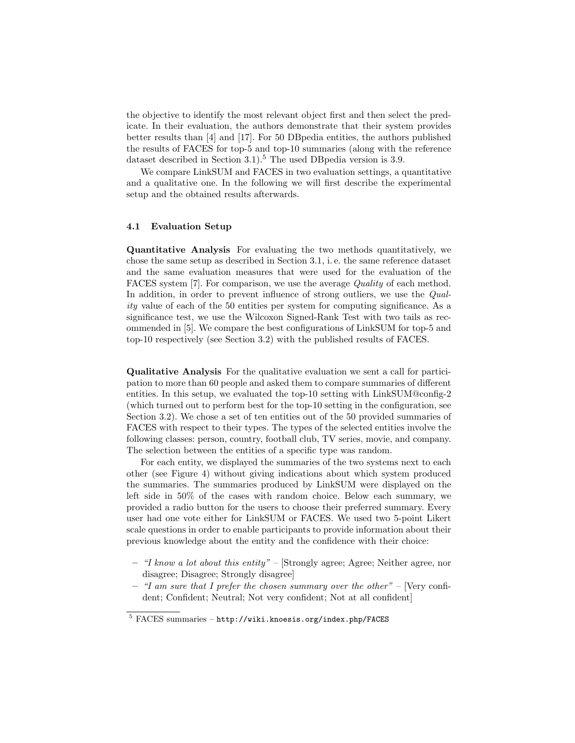the objective to identify the most relevant object first and then select the predicate. In their evaluation, the authors demonstrate that their system provides better results than [\[4\]](#page-17-3) and [\[17\]](#page-17-7). For 50 DBpedia entities, the authors published the results of FACES for top-5 and top-10 summaries (along with the reference dataset described in Section [3.1\)](#page-6-1).<sup>[5](#page-9-0)</sup> The used DB pedia version is 3.9.

We compare LinkSUM and FACES in two evaluation settings, a quantitative and a qualitative one. In the following we will first describe the experimental setup and the obtained results afterwards.

### 4.1 Evaluation Setup

Quantitative Analysis For evaluating the two methods quantitatively, we chose the same setup as described in Section [3.1,](#page-6-1) i. e. the same reference dataset and the same evaluation measures that were used for the evaluation of the FACES system [\[7\]](#page-17-4). For comparison, we use the average *Quality* of each method. In addition, in order to prevent influence of strong outliers, we use the *Qual*ity value of each of the 50 entities per system for computing significance. As a significance test, we use the Wilcoxon Signed-Rank Test with two tails as recommended in [\[5\]](#page-17-14). We compare the best configurations of LinkSUM for top-5 and top-10 respectively (see Section [3.2\)](#page-8-2) with the published results of FACES.

Qualitative Analysis For the qualitative evaluation we sent a call for participation to more than 60 people and asked them to compare summaries of different entities. In this setup, we evaluated the top-10 setting with LinkSUM@config-2 (which turned out to perform best for the top-10 setting in the configuration, see Section [3.2\)](#page-8-2). We chose a set of ten entities out of the 50 provided summaries of FACES with respect to their types. The types of the selected entities involve the following classes: person, country, football club, TV series, movie, and company. The selection between the entities of a specific type was random.

For each entity, we displayed the summaries of the two systems next to each other (see Figure [4\)](#page-10-0) without giving indications about which system produced the summaries. The summaries produced by LinkSUM were displayed on the left side in 50% of the cases with random choice. Below each summary, we provided a radio button for the users to choose their preferred summary. Every user had one vote either for LinkSUM or FACES. We used two 5-point Likert scale questions in order to enable participants to provide information about their previous knowledge about the entity and the confidence with their choice:

- $-$  "I know a lot about this entity" [Strongly agree; Agree; Neither agree, nor disagree; Disagree; Strongly disagree]
- $-$  "I am sure that I prefer the chosen summary over the other" [Very confident; Confident; Neutral; Not very confident; Not at all confident]

<span id="page-9-0"></span> $^5$  FACES summaries –  ${\tt http://withi.knoesis.org/index.php/FACES}$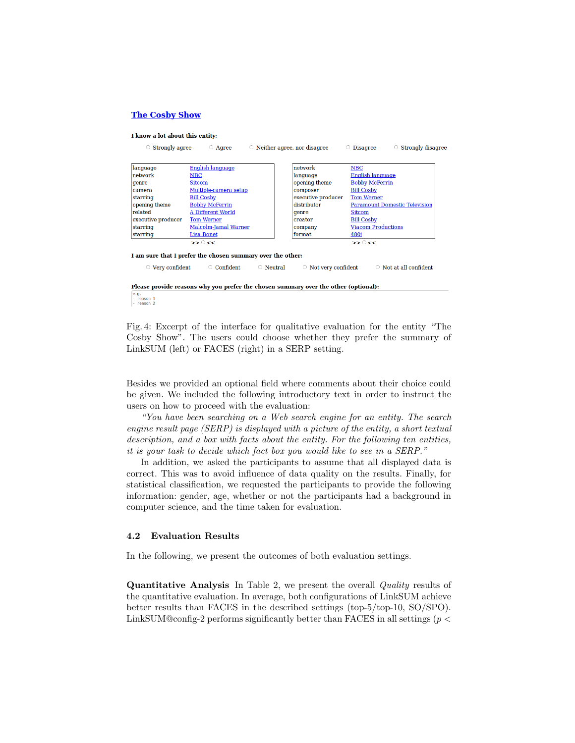### <span id="page-10-0"></span>**The Cosby Show**

#### I know a lot about this entity:

| language               | English language                                                                                   | network                     | NBC                                  |  |
|------------------------|----------------------------------------------------------------------------------------------------|-----------------------------|--------------------------------------|--|
| network                | $_{\rm NBC}$                                                                                       | language                    | <b>English language</b>              |  |
| genre                  | <b>Sitcom</b>                                                                                      | opening theme               | <b>Bobby McFerrin</b>                |  |
| camera                 | Multiple-camera setup                                                                              | composer                    | <b>Bill Cosby</b>                    |  |
| starring               | <b>Bill Cosby</b>                                                                                  | executive producer          | <b>Tom Werner</b>                    |  |
| opening theme          | <b>Bobby McFerrin</b>                                                                              |                             | <b>Paramount Domestic Television</b> |  |
| related                | A Different World                                                                                  | genre                       | <b>Sitcom</b>                        |  |
| executive producer     | <b>Tom Werner</b>                                                                                  | creator                     | <b>Bill Cosby</b>                    |  |
| starring               | Malcolm-Jamal Warner                                                                               | company                     | <b>Viacom Productions</b>            |  |
| starring               | Lisa Bonet                                                                                         | format<br>480i<br>$>>$ $<<$ |                                      |  |
|                        | $>>$ $<<$                                                                                          |                             |                                      |  |
| $\circ$ Very confident | I am sure that I prefer the chosen summary over the other:<br>$\circ$ Confident<br>$\circ$ Neutral | $\circ$ Not very confident  | $\circ$ Not at all confident         |  |

Please provide reasons why you prefer the chosen summary over the other (optional):

 $-$  reason 1<br> $-$  reason 2

Fig. 4: Excerpt of the interface for qualitative evaluation for the entity "The Cosby Show". The users could choose whether they prefer the summary of LinkSUM (left) or FACES (right) in a SERP setting.

Besides we provided an optional field where comments about their choice could be given. We included the following introductory text in order to instruct the users on how to proceed with the evaluation:

"You have been searching on a Web search engine for an entity. The search engine result page (SERP) is displayed with a picture of the entity, a short textual description, and a box with facts about the entity. For the following ten entities, it is your task to decide which fact box you would like to see in a SERP."

In addition, we asked the participants to assume that all displayed data is correct. This was to avoid influence of data quality on the results. Finally, for statistical classification, we requested the participants to provide the following information: gender, age, whether or not the participants had a background in computer science, and the time taken for evaluation.

#### 4.2 Evaluation Results

In the following, we present the outcomes of both evaluation settings.

Quantitative Analysis In Table [2,](#page-11-0) we present the overall *Quality* results of the quantitative evaluation. In average, both configurations of LinkSUM achieve better results than FACES in the described settings (top-5/top-10, SO/SPO). LinkSUM@config-2 performs significantly better than FACES in all settings ( $p <$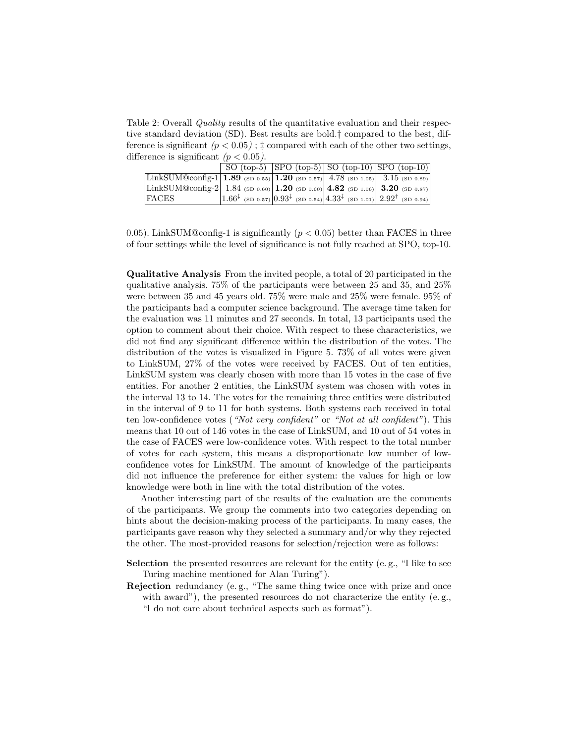<span id="page-11-0"></span>Table 2: Overall Quality results of the quantitative evaluation and their respective standard deviation (SD). Best results are bold.† compared to the best, difference is significant  $(p < 0.05)$ ;  $\ddagger$  compared with each of the other two settings, difference is significant  $(p < 0.05)$ .

|                                                                                         |  | SO (top-5) $ $ SPO (top-5) $ $ SO (top-10) $ $ SPO (top-10)                                                        |
|-----------------------------------------------------------------------------------------|--|--------------------------------------------------------------------------------------------------------------------|
| $ \text{LinkSUM@config-1} $ 1.89 (sp 0.55) 1.20 (sp 0.57) 4.78 (sp 1.05) 3.15 (sp 0.89) |  |                                                                                                                    |
| $ \text{LinkSUM@config-2} $ 1.84 (SD 0.60) 1.20 (SD 0.60) 4.82 (SD 1.06) 3.20 (SD 0.87) |  |                                                                                                                    |
| <b>FACES</b>                                                                            |  | $ 1.66^{\ddagger}$ (SD 0.57) $ 0.93^{\ddagger}$ (SD 0.54) $ 4.33^{\ddagger}$ (SD 1.01) $ 2.92^{\dagger}$ (SD 0.94) |

0.05). LinkSUM@config-1 is significantly  $(p < 0.05)$  better than FACES in three of four settings while the level of significance is not fully reached at SPO, top-10.

Qualitative Analysis From the invited people, a total of 20 participated in the qualitative analysis. 75% of the participants were between 25 and 35, and 25% were between 35 and 45 years old. 75% were male and 25% were female. 95% of the participants had a computer science background. The average time taken for the evaluation was 11 minutes and 27 seconds. In total, 13 participants used the option to comment about their choice. With respect to these characteristics, we did not find any significant difference within the distribution of the votes. The distribution of the votes is visualized in Figure [5.](#page-12-1) 73% of all votes were given to LinkSUM, 27% of the votes were received by FACES. Out of ten entities, LinkSUM system was clearly chosen with more than 15 votes in the case of five entities. For another 2 entities, the LinkSUM system was chosen with votes in the interval 13 to 14. The votes for the remaining three entities were distributed in the interval of 9 to 11 for both systems. Both systems each received in total ten low-confidence votes ("Not very confident" or "Not at all confident"). This means that 10 out of 146 votes in the case of LinkSUM, and 10 out of 54 votes in the case of FACES were low-confidence votes. With respect to the total number of votes for each system, this means a disproportionate low number of lowconfidence votes for LinkSUM. The amount of knowledge of the participants did not influence the preference for either system: the values for high or low knowledge were both in line with the total distribution of the votes.

Another interesting part of the results of the evaluation are the comments of the participants. We group the comments into two categories depending on hints about the decision-making process of the participants. In many cases, the participants gave reason why they selected a summary and/or why they rejected the other. The most-provided reasons for selection/rejection were as follows:

- Selection the presented resources are relevant for the entity (e. g., "I like to see Turing machine mentioned for Alan Turing").
- Rejection redundancy (e. g., "The same thing twice once with prize and once with award"), the presented resources do not characterize the entity (e.g., "I do not care about technical aspects such as format").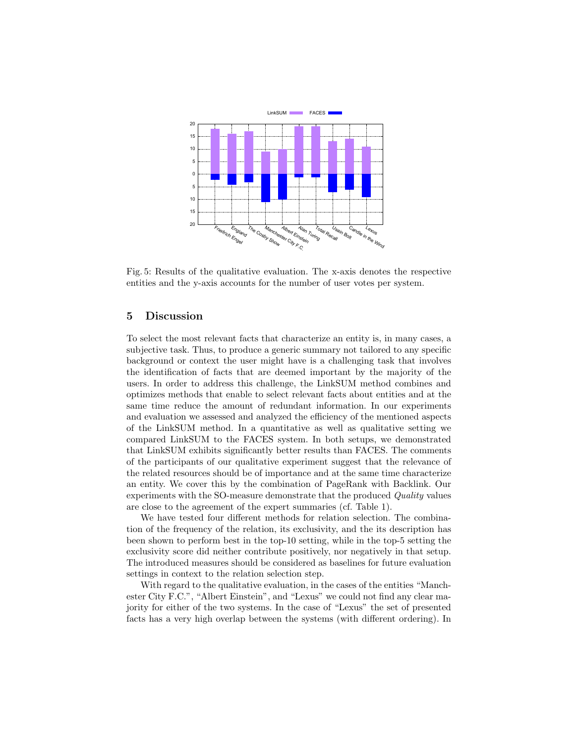<span id="page-12-1"></span>

Fig. 5: Results of the qualitative evaluation. The x-axis denotes the respective entities and the y-axis accounts for the number of user votes per system.

### <span id="page-12-0"></span>5 Discussion

To select the most relevant facts that characterize an entity is, in many cases, a subjective task. Thus, to produce a generic summary not tailored to any specific background or context the user might have is a challenging task that involves the identification of facts that are deemed important by the majority of the users. In order to address this challenge, the LinkSUM method combines and optimizes methods that enable to select relevant facts about entities and at the same time reduce the amount of redundant information. In our experiments and evaluation we assessed and analyzed the efficiency of the mentioned aspects of the LinkSUM method. In a quantitative as well as qualitative setting we compared LinkSUM to the FACES system. In both setups, we demonstrated that LinkSUM exhibits significantly better results than FACES. The comments of the participants of our qualitative experiment suggest that the relevance of the related resources should be of importance and at the same time characterize an entity. We cover this by the combination of PageRank with Backlink. Our experiments with the SO-measure demonstrate that the produced Quality values are close to the agreement of the expert summaries (cf. Table [1\)](#page-8-1).

We have tested four different methods for relation selection. The combination of the frequency of the relation, its exclusivity, and the its description has been shown to perform best in the top-10 setting, while in the top-5 setting the exclusivity score did neither contribute positively, nor negatively in that setup. The introduced measures should be considered as baselines for future evaluation settings in context to the relation selection step.

With regard to the qualitative evaluation, in the cases of the entities "Manchester City F.C.", "Albert Einstein", and "Lexus" we could not find any clear majority for either of the two systems. In the case of "Lexus" the set of presented facts has a very high overlap between the systems (with different ordering). In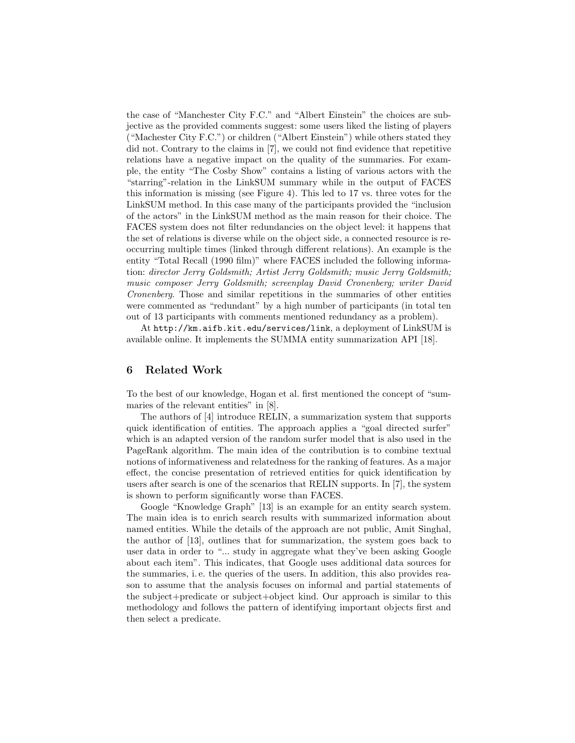the case of "Manchester City F.C." and "Albert Einstein" the choices are subjective as the provided comments suggest: some users liked the listing of players ("Machester City F.C.") or children ("Albert Einstein") while others stated they did not. Contrary to the claims in [\[7\]](#page-17-4), we could not find evidence that repetitive relations have a negative impact on the quality of the summaries. For example, the entity "The Cosby Show" contains a listing of various actors with the "starring"-relation in the LinkSUM summary while in the output of FACES this information is missing (see Figure [4\)](#page-10-0). This led to 17 vs. three votes for the LinkSUM method. In this case many of the participants provided the "inclusion of the actors" in the LinkSUM method as the main reason for their choice. The FACES system does not filter redundancies on the object level: it happens that the set of relations is diverse while on the object side, a connected resource is reoccurring multiple times (linked through different relations). An example is the entity "Total Recall (1990 film)" where FACES included the following information: director Jerry Goldsmith; Artist Jerry Goldsmith; music Jerry Goldsmith; music composer Jerry Goldsmith; screenplay David Cronenberg; writer David Cronenberg. Those and similar repetitions in the summaries of other entities were commented as "redundant" by a high number of participants (in total ten out of 13 participants with comments mentioned redundancy as a problem).

At <http://km.aifb.kit.edu/services/link>, a deployment of LinkSUM is available online. It implements the SUMMA entity summarization API [\[18\]](#page-17-8).

### <span id="page-13-0"></span>6 Related Work

To the best of our knowledge, Hogan et al. first mentioned the concept of "summaries of the relevant entities" in [\[8\]](#page-17-15).

The authors of [\[4\]](#page-17-3) introduce RELIN, a summarization system that supports quick identification of entities. The approach applies a "goal directed surfer" which is an adapted version of the random surfer model that is also used in the PageRank algorithm. The main idea of the contribution is to combine textual notions of informativeness and relatedness for the ranking of features. As a major effect, the concise presentation of retrieved entities for quick identification by users after search is one of the scenarios that RELIN supports. In [\[7\]](#page-17-4), the system is shown to perform significantly worse than FACES.

Google "Knowledge Graph" [\[13\]](#page-17-1) is an example for an entity search system. The main idea is to enrich search results with summarized information about named entities. While the details of the approach are not public, Amit Singhal, the author of [\[13\]](#page-17-1), outlines that for summarization, the system goes back to user data in order to "... study in aggregate what they've been asking Google about each item". This indicates, that Google uses additional data sources for the summaries, i. e. the queries of the users. In addition, this also provides reason to assume that the analysis focuses on informal and partial statements of the subject+predicate or subject+object kind. Our approach is similar to this methodology and follows the pattern of identifying important objects first and then select a predicate.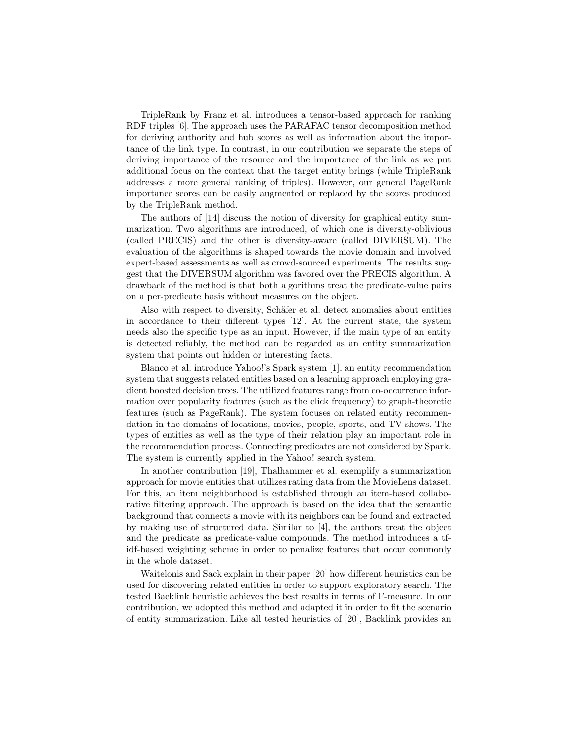TripleRank by Franz et al. introduces a tensor-based approach for ranking RDF triples [\[6\]](#page-17-16). The approach uses the PARAFAC tensor decomposition method for deriving authority and hub scores as well as information about the importance of the link type. In contrast, in our contribution we separate the steps of deriving importance of the resource and the importance of the link as we put additional focus on the context that the target entity brings (while TripleRank addresses a more general ranking of triples). However, our general PageRank importance scores can be easily augmented or replaced by the scores produced by the TripleRank method.

The authors of [\[14\]](#page-17-5) discuss the notion of diversity for graphical entity summarization. Two algorithms are introduced, of which one is diversity-oblivious (called PRECIS) and the other is diversity-aware (called DIVERSUM). The evaluation of the algorithms is shaped towards the movie domain and involved expert-based assessments as well as crowd-sourced experiments. The results suggest that the DIVERSUM algorithm was favored over the PRECIS algorithm. A drawback of the method is that both algorithms treat the predicate-value pairs on a per-predicate basis without measures on the object.

Also with respect to diversity, Schäfer et al. detect anomalies about entities in accordance to their different types [\[12\]](#page-17-17). At the current state, the system needs also the specific type as an input. However, if the main type of an entity is detected reliably, the method can be regarded as an entity summarization system that points out hidden or interesting facts.

Blanco et al. introduce Yahoo!'s Spark system [\[1\]](#page-17-0), an entity recommendation system that suggests related entities based on a learning approach employing gradient boosted decision trees. The utilized features range from co-occurrence information over popularity features (such as the click frequency) to graph-theoretic features (such as PageRank). The system focuses on related entity recommendation in the domains of locations, movies, people, sports, and TV shows. The types of entities as well as the type of their relation play an important role in the recommendation process. Connecting predicates are not considered by Spark. The system is currently applied in the Yahoo! search system.

In another contribution [\[19\]](#page-17-9), Thalhammer et al. exemplify a summarization approach for movie entities that utilizes rating data from the MovieLens dataset. For this, an item neighborhood is established through an item-based collaborative filtering approach. The approach is based on the idea that the semantic background that connects a movie with its neighbors can be found and extracted by making use of structured data. Similar to [\[4\]](#page-17-3), the authors treat the object and the predicate as predicate-value compounds. The method introduces a tfidf-based weighting scheme in order to penalize features that occur commonly in the whole dataset.

Waitelonis and Sack explain in their paper [\[20\]](#page-17-11) how different heuristics can be used for discovering related entities in order to support exploratory search. The tested Backlink heuristic achieves the best results in terms of F-measure. In our contribution, we adopted this method and adapted it in order to fit the scenario of entity summarization. Like all tested heuristics of [\[20\]](#page-17-11), Backlink provides an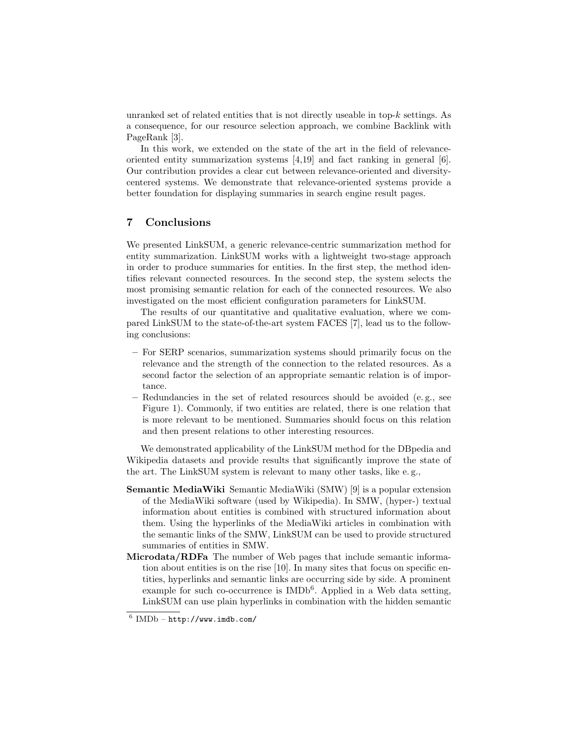unranked set of related entities that is not directly useable in top-k settings. As a consequence, for our resource selection approach, we combine Backlink with PageRank [\[3\]](#page-17-10).

In this work, we extended on the state of the art in the field of relevanceoriented entity summarization systems [\[4](#page-17-3)[,19\]](#page-17-9) and fact ranking in general [\[6\]](#page-17-16). Our contribution provides a clear cut between relevance-oriented and diversitycentered systems. We demonstrate that relevance-oriented systems provide a better foundation for displaying summaries in search engine result pages.

## <span id="page-15-0"></span>7 Conclusions

We presented LinkSUM, a generic relevance-centric summarization method for entity summarization. LinkSUM works with a lightweight two-stage approach in order to produce summaries for entities. In the first step, the method identifies relevant connected resources. In the second step, the system selects the most promising semantic relation for each of the connected resources. We also investigated on the most efficient configuration parameters for LinkSUM.

The results of our quantitative and qualitative evaluation, where we compared LinkSUM to the state-of-the-art system FACES [\[7\]](#page-17-4), lead us to the following conclusions:

- For SERP scenarios, summarization systems should primarily focus on the relevance and the strength of the connection to the related resources. As a second factor the selection of an appropriate semantic relation is of importance.
- Redundancies in the set of related resources should be avoided (e. g., see Figure [1\)](#page-1-0). Commonly, if two entities are related, there is one relation that is more relevant to be mentioned. Summaries should focus on this relation and then present relations to other interesting resources.

We demonstrated applicability of the LinkSUM method for the DBpedia and Wikipedia datasets and provide results that significantly improve the state of the art. The LinkSUM system is relevant to many other tasks, like e. g.,

- Semantic MediaWiki Semantic MediaWiki (SMW) [\[9\]](#page-17-18) is a popular extension of the MediaWiki software (used by Wikipedia). In SMW, (hyper-) textual information about entities is combined with structured information about them. Using the hyperlinks of the MediaWiki articles in combination with the semantic links of the SMW, LinkSUM can be used to provide structured summaries of entities in SMW.
- Microdata/RDFa The number of Web pages that include semantic information about entities is on the rise [\[10\]](#page-17-19). In many sites that focus on specific entities, hyperlinks and semantic links are occurring side by side. A prominent example for such co-occurrence is  $IMDb<sup>6</sup>$  $IMDb<sup>6</sup>$  $IMDb<sup>6</sup>$ . Applied in a Web data setting, LinkSUM can use plain hyperlinks in combination with the hidden semantic

<span id="page-15-1"></span> $6$  IMDb –  $http://www.indb.com/$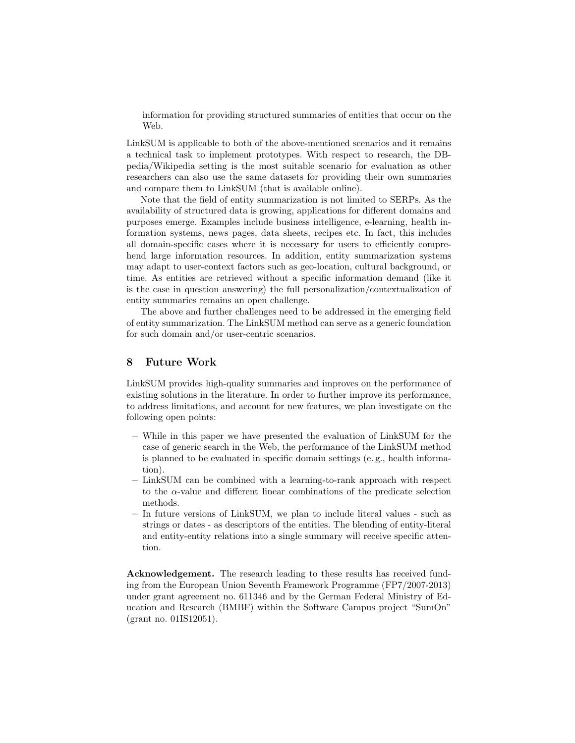information for providing structured summaries of entities that occur on the Web.

LinkSUM is applicable to both of the above-mentioned scenarios and it remains a technical task to implement prototypes. With respect to research, the DBpedia/Wikipedia setting is the most suitable scenario for evaluation as other researchers can also use the same datasets for providing their own summaries and compare them to LinkSUM (that is available online).

Note that the field of entity summarization is not limited to SERPs. As the availability of structured data is growing, applications for different domains and purposes emerge. Examples include business intelligence, e-learning, health information systems, news pages, data sheets, recipes etc. In fact, this includes all domain-specific cases where it is necessary for users to efficiently comprehend large information resources. In addition, entity summarization systems may adapt to user-context factors such as geo-location, cultural background, or time. As entities are retrieved without a specific information demand (like it is the case in question answering) the full personalization/contextualization of entity summaries remains an open challenge.

The above and further challenges need to be addressed in the emerging field of entity summarization. The LinkSUM method can serve as a generic foundation for such domain and/or user-centric scenarios.

### <span id="page-16-0"></span>8 Future Work

LinkSUM provides high-quality summaries and improves on the performance of existing solutions in the literature. In order to further improve its performance, to address limitations, and account for new features, we plan investigate on the following open points:

- While in this paper we have presented the evaluation of LinkSUM for the case of generic search in the Web, the performance of the LinkSUM method is planned to be evaluated in specific domain settings (e. g., health information).
- LinkSUM can be combined with a learning-to-rank approach with respect to the  $\alpha$ -value and different linear combinations of the predicate selection methods.
- In future versions of LinkSUM, we plan to include literal values such as strings or dates - as descriptors of the entities. The blending of entity-literal and entity-entity relations into a single summary will receive specific attention.

Acknowledgement. The research leading to these results has received funding from the European Union Seventh Framework Programme (FP7/2007-2013) under grant agreement no. 611346 and by the German Federal Ministry of Education and Research (BMBF) within the Software Campus project "SumOn" (grant no. 01IS12051).